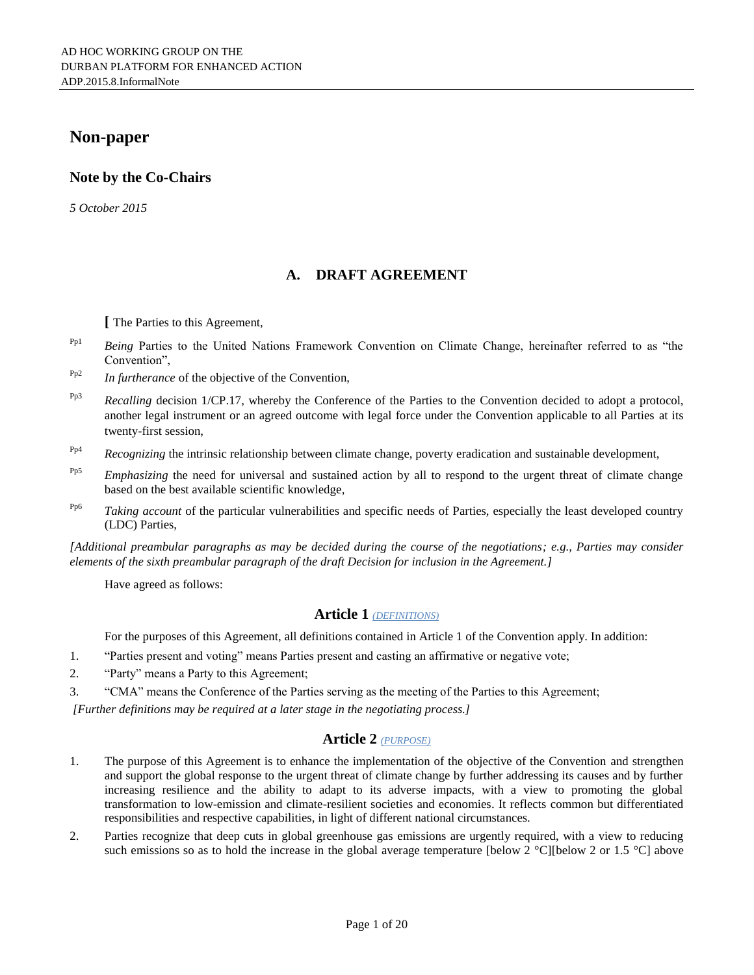# **Non-paper**

# **Note by the Co-Chairs**

*5 October 2015*

# **A. DRAFT AGREEMENT**

**[** The Parties to this Agreement,

- Pp1 *Being* Parties to the United Nations Framework Convention on Climate Change, hereinafter referred to as "the Convention",
- Pp2 *In furtherance* of the objective of the Convention,
- <sup>Pp3</sup> *Recalling* decision 1/CP.17, whereby the Conference of the Parties to the Convention decided to adopt a protocol, another legal instrument or an agreed outcome with legal force under the Convention applicable to all Parties at its twenty-first session,
- <sup>Pp4</sup> *Recognizing* the intrinsic relationship between climate change, poverty eradication and sustainable development,
- <sup>Pp5</sup> *Emphasizing* the need for universal and sustained action by all to respond to the urgent threat of climate change based on the best available scientific knowledge,
- <sup>Pp6</sup> *Taking account* of the particular vulnerabilities and specific needs of Parties, especially the least developed country (LDC) Parties,

*[Additional preambular paragraphs as may be decided during the course of the negotiations; e.g., Parties may consider elements of the sixth preambular paragraph of the draft Decision for inclusion in the Agreement.]*

Have agreed as follows:

## **Article 1** *(DEFINITIONS)*

For the purposes of this Agreement, all definitions contained in Article 1 of the Convention apply. In addition:

- 1. "Parties present and voting" means Parties present and casting an affirmative or negative vote;
- 2. "Party" means a Party to this Agreement;
- 3. "CMA" means the Conference of the Parties serving as the meeting of the Parties to this Agreement;

*[Further definitions may be required at a later stage in the negotiating process.]*

## **Article 2** *(PURPOSE)*

- 1. The purpose of this Agreement is to enhance the implementation of the objective of the Convention and strengthen and support the global response to the urgent threat of climate change by further addressing its causes and by further increasing resilience and the ability to adapt to its adverse impacts, with a view to promoting the global transformation to low-emission and climate-resilient societies and economies. It reflects common but differentiated responsibilities and respective capabilities, in light of different national circumstances.
- 2. Parties recognize that deep cuts in global greenhouse gas emissions are urgently required, with a view to reducing such emissions so as to hold the increase in the global average temperature [below 2 °C][below 2 or 1.5 °C] above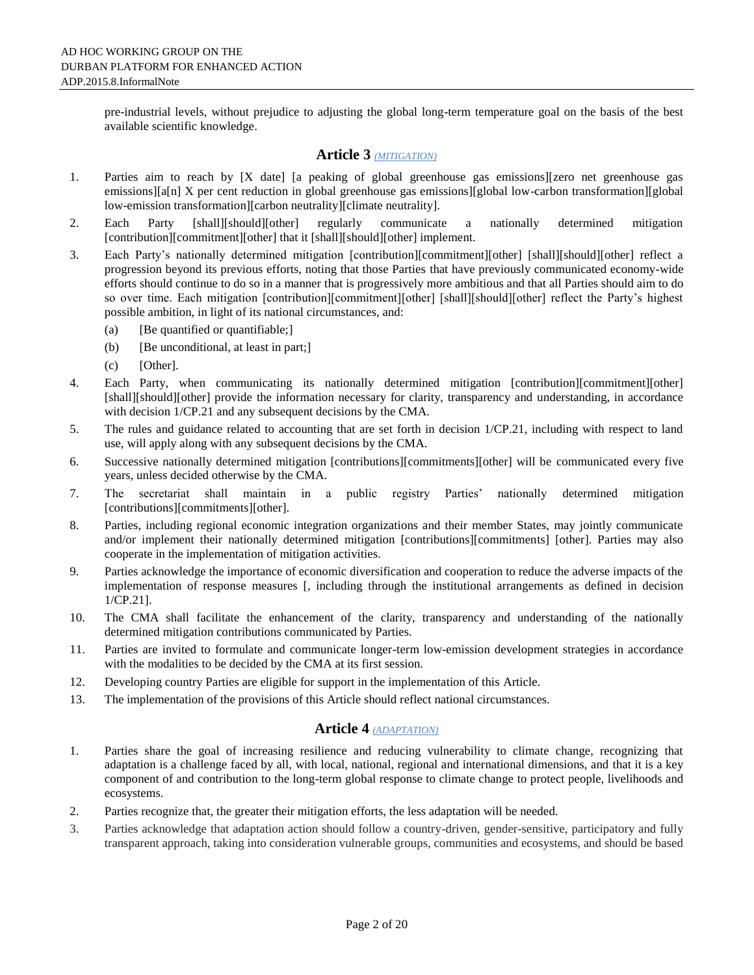pre-industrial levels, without prejudice to adjusting the global long-term temperature goal on the basis of the best available scientific knowledge.

## **Article 3** *(MITIGATION)*

- 1. Parties aim to reach by [X date] [a peaking of global greenhouse gas emissions][zero net greenhouse gas emissions][a[n] X per cent reduction in global greenhouse gas emissions][global low-carbon transformation][global low-emission transformation][carbon neutrality][climate neutrality].
- 2. Each Party [shall][should][other] regularly communicate a nationally determined mitigation [contribution][commitment][other] that it [shall][should][other] implement.
- 3. Each Party's nationally determined mitigation [contribution][commitment][other] [shall][should][other] reflect a progression beyond its previous efforts, noting that those Parties that have previously communicated economy-wide efforts should continue to do so in a manner that is progressively more ambitious and that all Parties should aim to do so over time. Each mitigation [contribution][commitment][other] [shall][should][other] reflect the Party's highest possible ambition, in light of its national circumstances, and:
	- (a) [Be quantified or quantifiable;]
	- (b) [Be unconditional, at least in part;]
	- (c) [Other].
- 4. Each Party, when communicating its nationally determined mitigation [contribution][commitment][other] [shall][should][other] provide the information necessary for clarity, transparency and understanding, in accordance with decision 1/CP.21 and any subsequent decisions by the CMA.
- 5. The rules and guidance related to accounting that are set forth in decision 1/CP.21, including with respect to land use, will apply along with any subsequent decisions by the CMA.
- 6. Successive nationally determined mitigation [contributions][commitments][other] will be communicated every five years, unless decided otherwise by the CMA.
- 7. The secretariat shall maintain in a public registry Parties' nationally determined mitigation [contributions][commitments][other].
- 8. Parties, including regional economic integration organizations and their member States, may jointly communicate and/or implement their nationally determined mitigation [contributions][commitments] [other]. Parties may also cooperate in the implementation of mitigation activities.
- 9. Parties acknowledge the importance of economic diversification and cooperation to reduce the adverse impacts of the implementation of response measures [, including through the institutional arrangements as defined in decision 1/CP.21].
- 10. The CMA shall facilitate the enhancement of the clarity, transparency and understanding of the nationally determined mitigation contributions communicated by Parties.
- 11. Parties are invited to formulate and communicate longer-term low-emission development strategies in accordance with the modalities to be decided by the CMA at its first session.
- 12. Developing country Parties are eligible for support in the implementation of this Article.
- 13. The implementation of the provisions of this Article should reflect national circumstances.

# **Article 4** *(ADAPTATION)*

- 1. Parties share the goal of increasing resilience and reducing vulnerability to climate change, recognizing that adaptation is a challenge faced by all, with local, national, regional and international dimensions, and that it is a key component of and contribution to the long-term global response to climate change to protect people, livelihoods and ecosystems.
- 2. Parties recognize that, the greater their mitigation efforts, the less adaptation will be needed.
- 3. Parties acknowledge that adaptation action should follow a country-driven, gender-sensitive, participatory and fully transparent approach, taking into consideration vulnerable groups, communities and ecosystems, and should be based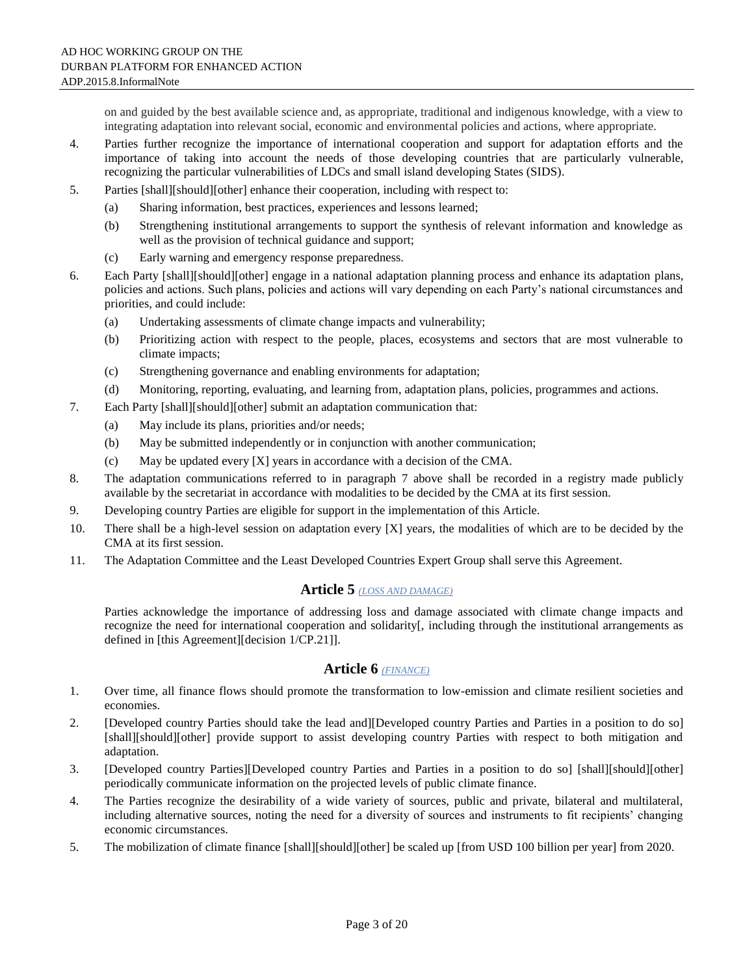on and guided by the best available science and, as appropriate, traditional and indigenous knowledge, with a view to integrating adaptation into relevant social, economic and environmental policies and actions, where appropriate.

- 4. Parties further recognize the importance of international cooperation and support for adaptation efforts and the importance of taking into account the needs of those developing countries that are particularly vulnerable, recognizing the particular vulnerabilities of LDCs and small island developing States (SIDS).
- 5. Parties [shall][should][other] enhance their cooperation, including with respect to:
	- (a) Sharing information, best practices, experiences and lessons learned;
	- (b) Strengthening institutional arrangements to support the synthesis of relevant information and knowledge as well as the provision of technical guidance and support;
	- (c) Early warning and emergency response preparedness.
- 6. Each Party [shall][should][other] engage in a national adaptation planning process and enhance its adaptation plans, policies and actions. Such plans, policies and actions will vary depending on each Party's national circumstances and priorities, and could include:
	- (a) Undertaking assessments of climate change impacts and vulnerability;
	- (b) Prioritizing action with respect to the people, places, ecosystems and sectors that are most vulnerable to climate impacts;
	- (c) Strengthening governance and enabling environments for adaptation;
	- (d) Monitoring, reporting, evaluating, and learning from, adaptation plans, policies, programmes and actions.
- 7. Each Party [shall][should][other] submit an adaptation communication that:
	- (a) May include its plans, priorities and/or needs;
	- (b) May be submitted independently or in conjunction with another communication;
	- (c) May be updated every [X] years in accordance with a decision of the CMA.
- 8. The adaptation communications referred to in paragraph 7 above shall be recorded in a registry made publicly available by the secretariat in accordance with modalities to be decided by the CMA at its first session.
- 9. Developing country Parties are eligible for support in the implementation of this Article.
- 10. There shall be a high-level session on adaptation every [X] years, the modalities of which are to be decided by the CMA at its first session.
- 11. The Adaptation Committee and the Least Developed Countries Expert Group shall serve this Agreement.

### **Article 5** *(LOSS AND DAMAGE)*

Parties acknowledge the importance of addressing loss and damage associated with climate change impacts and recognize the need for international cooperation and solidarity[, including through the institutional arrangements as defined in [this Agreement][decision 1/CP.21]].

## **Article 6** *(FINANCE)*

- 1. Over time, all finance flows should promote the transformation to low-emission and climate resilient societies and economies.
- 2. [Developed country Parties should take the lead and][Developed country Parties and Parties in a position to do so] [shall][should][other] provide support to assist developing country Parties with respect to both mitigation and adaptation.
- 3. [Developed country Parties][Developed country Parties and Parties in a position to do so] [shall][should][other] periodically communicate information on the projected levels of public climate finance.
- 4. The Parties recognize the desirability of a wide variety of sources, public and private, bilateral and multilateral, including alternative sources, noting the need for a diversity of sources and instruments to fit recipients' changing economic circumstances.
- 5. The mobilization of climate finance [shall][should][other] be scaled up [from USD 100 billion per year] from 2020.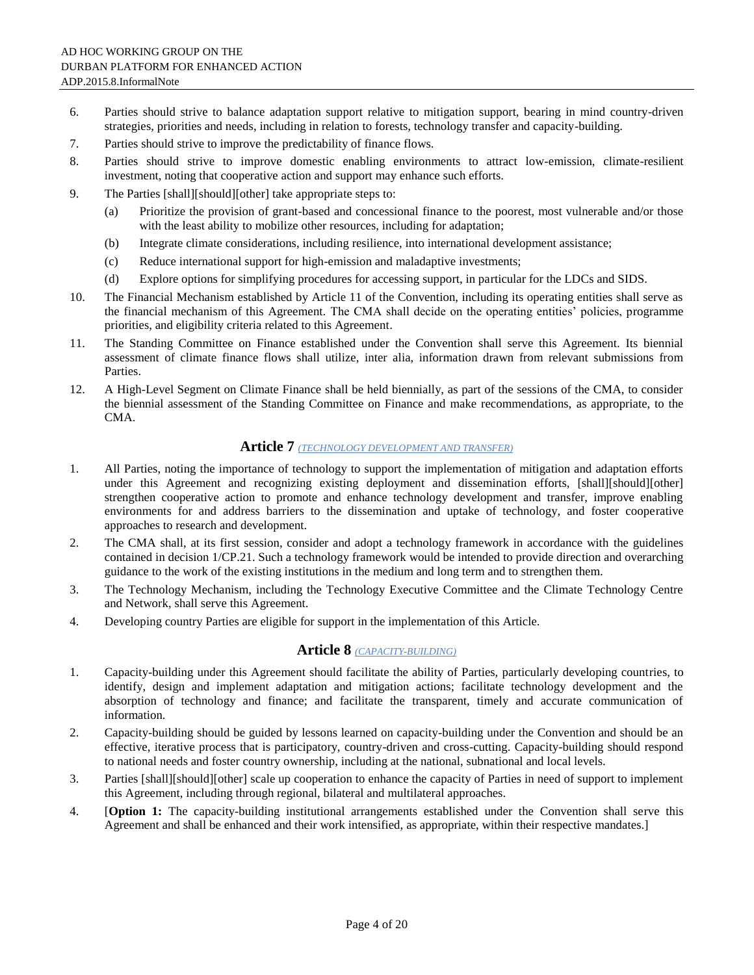- 6. Parties should strive to balance adaptation support relative to mitigation support, bearing in mind country-driven strategies, priorities and needs, including in relation to forests, technology transfer and capacity-building.
- 7. Parties should strive to improve the predictability of finance flows.
- 8. Parties should strive to improve domestic enabling environments to attract low-emission, climate-resilient investment, noting that cooperative action and support may enhance such efforts.
- 9. The Parties [shall][should][other] take appropriate steps to:
	- (a) Prioritize the provision of grant-based and concessional finance to the poorest, most vulnerable and/or those with the least ability to mobilize other resources, including for adaptation;
	- (b) Integrate climate considerations, including resilience, into international development assistance;
	- (c) Reduce international support for high-emission and maladaptive investments;
	- (d) Explore options for simplifying procedures for accessing support, in particular for the LDCs and SIDS.
- 10. The Financial Mechanism established by Article 11 of the Convention, including its operating entities shall serve as the financial mechanism of this Agreement. The CMA shall decide on the operating entities' policies, programme priorities, and eligibility criteria related to this Agreement.
- 11. The Standing Committee on Finance established under the Convention shall serve this Agreement. Its biennial assessment of climate finance flows shall utilize, inter alia, information drawn from relevant submissions from Parties.
- 12. A High-Level Segment on Climate Finance shall be held biennially, as part of the sessions of the CMA, to consider the biennial assessment of the Standing Committee on Finance and make recommendations, as appropriate, to the CMA.

## **Article 7** *(TECHNOLOGY DEVELOPMENT AND TRANSFER)*

- 1. All Parties, noting the importance of technology to support the implementation of mitigation and adaptation efforts under this Agreement and recognizing existing deployment and dissemination efforts, [shall][should][other] strengthen cooperative action to promote and enhance technology development and transfer, improve enabling environments for and address barriers to the dissemination and uptake of technology, and foster cooperative approaches to research and development.
- 2. The CMA shall, at its first session, consider and adopt a technology framework in accordance with the guidelines contained in decision 1/CP.21. Such a technology framework would be intended to provide direction and overarching guidance to the work of the existing institutions in the medium and long term and to strengthen them.
- 3. The Technology Mechanism, including the Technology Executive Committee and the Climate Technology Centre and Network, shall serve this Agreement.
- 4. Developing country Parties are eligible for support in the implementation of this Article.

### **Article 8** *(CAPACITY-BUILDING)*

- 1. Capacity-building under this Agreement should facilitate the ability of Parties, particularly developing countries, to identify, design and implement adaptation and mitigation actions; facilitate technology development and the absorption of technology and finance; and facilitate the transparent, timely and accurate communication of information.
- 2. Capacity-building should be guided by lessons learned on capacity-building under the Convention and should be an effective, iterative process that is participatory, country-driven and cross-cutting. Capacity-building should respond to national needs and foster country ownership, including at the national, subnational and local levels.
- 3. Parties [shall][should][other] scale up cooperation to enhance the capacity of Parties in need of support to implement this Agreement, including through regional, bilateral and multilateral approaches.
- 4. [**Option 1:** The capacity-building institutional arrangements established under the Convention shall serve this Agreement and shall be enhanced and their work intensified, as appropriate, within their respective mandates.]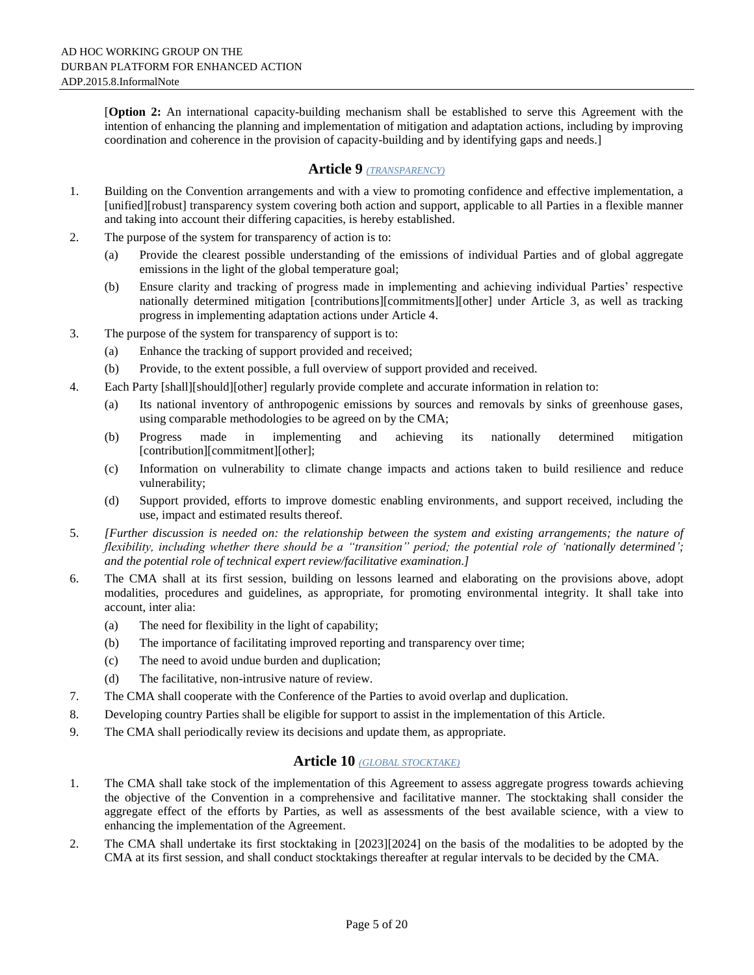[**Option 2:** An international capacity-building mechanism shall be established to serve this Agreement with the intention of enhancing the planning and implementation of mitigation and adaptation actions, including by improving coordination and coherence in the provision of capacity-building and by identifying gaps and needs.]

# **Article 9** *(TRANSPARENCY)*

- 1. Building on the Convention arrangements and with a view to promoting confidence and effective implementation, a [unified][robust] transparency system covering both action and support, applicable to all Parties in a flexible manner and taking into account their differing capacities, is hereby established.
- 2. The purpose of the system for transparency of action is to:
	- (a) Provide the clearest possible understanding of the emissions of individual Parties and of global aggregate emissions in the light of the global temperature goal;
	- (b) Ensure clarity and tracking of progress made in implementing and achieving individual Parties' respective nationally determined mitigation [contributions][commitments][other] under Article 3, as well as tracking progress in implementing adaptation actions under Article 4.
- 3. The purpose of the system for transparency of support is to:
	- (a) Enhance the tracking of support provided and received;
	- (b) Provide, to the extent possible, a full overview of support provided and received.
- 4. Each Party [shall][should][other] regularly provide complete and accurate information in relation to:
	- (a) Its national inventory of anthropogenic emissions by sources and removals by sinks of greenhouse gases, using comparable methodologies to be agreed on by the CMA;
	- (b) Progress made in implementing and achieving its nationally determined mitigation [contribution][commitment][other];
	- (c) Information on vulnerability to climate change impacts and actions taken to build resilience and reduce vulnerability;
	- (d) Support provided, efforts to improve domestic enabling environments, and support received, including the use, impact and estimated results thereof.
- 5. *[Further discussion is needed on: the relationship between the system and existing arrangements; the nature of flexibility, including whether there should be a "transition" period; the potential role of 'nationally determined'; and the potential role of technical expert review/facilitative examination.]*
- 6. The CMA shall at its first session, building on lessons learned and elaborating on the provisions above, adopt modalities, procedures and guidelines, as appropriate, for promoting environmental integrity. It shall take into account, inter alia:
	- (a) The need for flexibility in the light of capability;
	- (b) The importance of facilitating improved reporting and transparency over time;
	- (c) The need to avoid undue burden and duplication;
	- (d) The facilitative, non-intrusive nature of review.
- 7. The CMA shall cooperate with the Conference of the Parties to avoid overlap and duplication.
- 8. Developing country Parties shall be eligible for support to assist in the implementation of this Article.
- 9. The CMA shall periodically review its decisions and update them, as appropriate.

# **Article 10** *(GLOBAL STOCKTAKE)*

- 1. The CMA shall take stock of the implementation of this Agreement to assess aggregate progress towards achieving the objective of the Convention in a comprehensive and facilitative manner. The stocktaking shall consider the aggregate effect of the efforts by Parties, as well as assessments of the best available science, with a view to enhancing the implementation of the Agreement.
- 2. The CMA shall undertake its first stocktaking in [2023][2024] on the basis of the modalities to be adopted by the CMA at its first session, and shall conduct stocktakings thereafter at regular intervals to be decided by the CMA.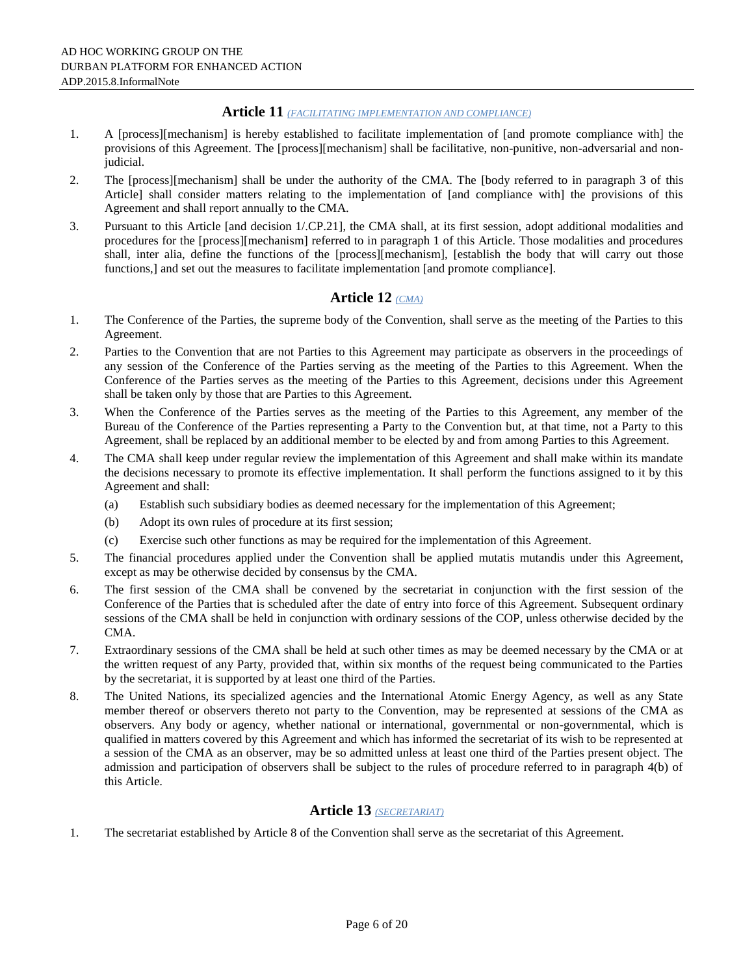### **Article 11** *(FACILITATING IMPLEMENTATION AND COMPLIANCE)*

- 1. A [process][mechanism] is hereby established to facilitate implementation of [and promote compliance with] the provisions of this Agreement. The [process][mechanism] shall be facilitative, non-punitive, non-adversarial and nonjudicial.
- 2. The [process][mechanism] shall be under the authority of the CMA. The [body referred to in paragraph 3 of this Article] shall consider matters relating to the implementation of [and compliance with] the provisions of this Agreement and shall report annually to the CMA.
- 3. Pursuant to this Article [and decision 1/.CP.21], the CMA shall, at its first session, adopt additional modalities and procedures for the [process][mechanism] referred to in paragraph 1 of this Article. Those modalities and procedures shall, inter alia, define the functions of the [process][mechanism], [establish the body that will carry out those functions,] and set out the measures to facilitate implementation [and promote compliance].

# **Article 12** *(CMA)*

- 1. The Conference of the Parties, the supreme body of the Convention, shall serve as the meeting of the Parties to this Agreement.
- 2. Parties to the Convention that are not Parties to this Agreement may participate as observers in the proceedings of any session of the Conference of the Parties serving as the meeting of the Parties to this Agreement. When the Conference of the Parties serves as the meeting of the Parties to this Agreement, decisions under this Agreement shall be taken only by those that are Parties to this Agreement.
- 3. When the Conference of the Parties serves as the meeting of the Parties to this Agreement, any member of the Bureau of the Conference of the Parties representing a Party to the Convention but, at that time, not a Party to this Agreement, shall be replaced by an additional member to be elected by and from among Parties to this Agreement.
- 4. The CMA shall keep under regular review the implementation of this Agreement and shall make within its mandate the decisions necessary to promote its effective implementation. It shall perform the functions assigned to it by this Agreement and shall:
	- (a) Establish such subsidiary bodies as deemed necessary for the implementation of this Agreement;
	- (b) Adopt its own rules of procedure at its first session;
	- (c) Exercise such other functions as may be required for the implementation of this Agreement.
- 5. The financial procedures applied under the Convention shall be applied mutatis mutandis under this Agreement, except as may be otherwise decided by consensus by the CMA.
- 6. The first session of the CMA shall be convened by the secretariat in conjunction with the first session of the Conference of the Parties that is scheduled after the date of entry into force of this Agreement. Subsequent ordinary sessions of the CMA shall be held in conjunction with ordinary sessions of the COP, unless otherwise decided by the CMA.
- 7. Extraordinary sessions of the CMA shall be held at such other times as may be deemed necessary by the CMA or at the written request of any Party, provided that, within six months of the request being communicated to the Parties by the secretariat, it is supported by at least one third of the Parties.
- 8. The United Nations, its specialized agencies and the International Atomic Energy Agency, as well as any State member thereof or observers thereto not party to the Convention, may be represented at sessions of the CMA as observers. Any body or agency, whether national or international, governmental or non-governmental, which is qualified in matters covered by this Agreement and which has informed the secretariat of its wish to be represented at a session of the CMA as an observer, may be so admitted unless at least one third of the Parties present object. The admission and participation of observers shall be subject to the rules of procedure referred to in paragraph 4(b) of this Article.

## **Article 13** *(SECRETARIAT)*

1. The secretariat established by Article 8 of the Convention shall serve as the secretariat of this Agreement.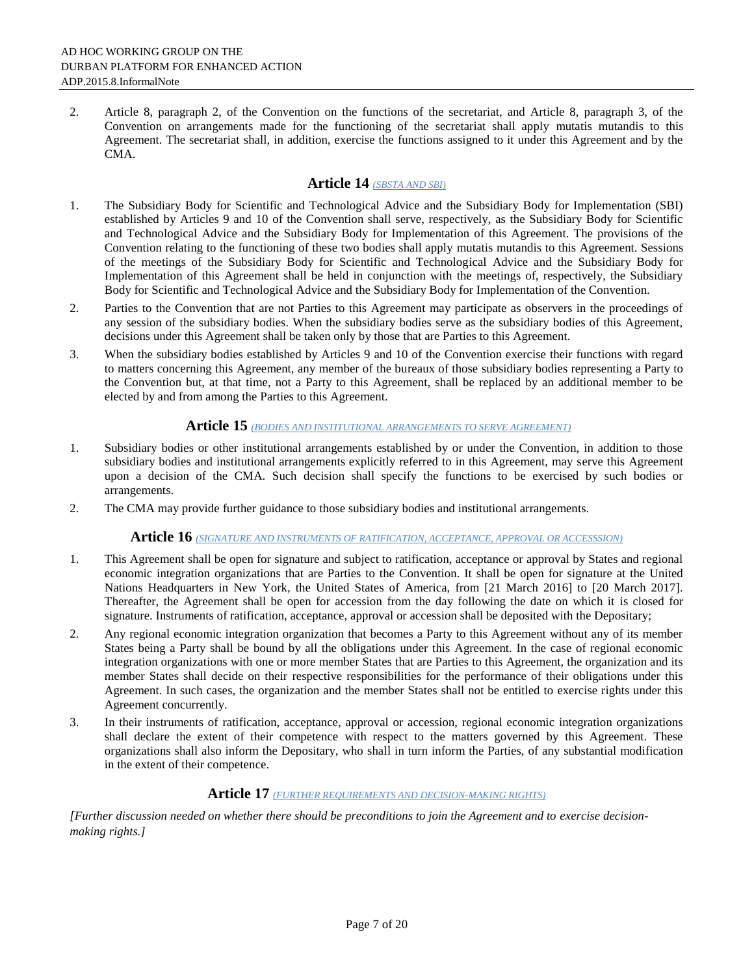2. Article 8, paragraph 2, of the Convention on the functions of the secretariat, and Article 8, paragraph 3, of the Convention on arrangements made for the functioning of the secretariat shall apply mutatis mutandis to this Agreement. The secretariat shall, in addition, exercise the functions assigned to it under this Agreement and by the CMA.

# **Article 14** *(SBSTA AND SBI)*

- 1. The Subsidiary Body for Scientific and Technological Advice and the Subsidiary Body for Implementation (SBI) established by Articles 9 and 10 of the Convention shall serve, respectively, as the Subsidiary Body for Scientific and Technological Advice and the Subsidiary Body for Implementation of this Agreement. The provisions of the Convention relating to the functioning of these two bodies shall apply mutatis mutandis to this Agreement. Sessions of the meetings of the Subsidiary Body for Scientific and Technological Advice and the Subsidiary Body for Implementation of this Agreement shall be held in conjunction with the meetings of, respectively, the Subsidiary Body for Scientific and Technological Advice and the Subsidiary Body for Implementation of the Convention.
- 2. Parties to the Convention that are not Parties to this Agreement may participate as observers in the proceedings of any session of the subsidiary bodies. When the subsidiary bodies serve as the subsidiary bodies of this Agreement, decisions under this Agreement shall be taken only by those that are Parties to this Agreement.
- 3. When the subsidiary bodies established by Articles 9 and 10 of the Convention exercise their functions with regard to matters concerning this Agreement, any member of the bureaux of those subsidiary bodies representing a Party to the Convention but, at that time, not a Party to this Agreement, shall be replaced by an additional member to be elected by and from among the Parties to this Agreement.

### **Article 15** *(BODIES AND INSTITUTIONAL ARRANGEMENTS TO SERVE AGREEMENT)*

- 1. Subsidiary bodies or other institutional arrangements established by or under the Convention, in addition to those subsidiary bodies and institutional arrangements explicitly referred to in this Agreement, may serve this Agreement upon a decision of the CMA. Such decision shall specify the functions to be exercised by such bodies or arrangements.
- 2. The CMA may provide further guidance to those subsidiary bodies and institutional arrangements.

## **Article 16** *(SIGNATURE AND INSTRUMENTS OF RATIFICATION, ACCEPTANCE, APPROVAL OR ACCESSSION)*

- 1. This Agreement shall be open for signature and subject to ratification, acceptance or approval by States and regional economic integration organizations that are Parties to the Convention. It shall be open for signature at the United Nations Headquarters in New York, the United States of America, from [21 March 2016] to [20 March 2017]. Thereafter, the Agreement shall be open for accession from the day following the date on which it is closed for signature. Instruments of ratification, acceptance, approval or accession shall be deposited with the Depositary;
- 2. Any regional economic integration organization that becomes a Party to this Agreement without any of its member States being a Party shall be bound by all the obligations under this Agreement. In the case of regional economic integration organizations with one or more member States that are Parties to this Agreement, the organization and its member States shall decide on their respective responsibilities for the performance of their obligations under this Agreement. In such cases, the organization and the member States shall not be entitled to exercise rights under this Agreement concurrently.
- 3. In their instruments of ratification, acceptance, approval or accession, regional economic integration organizations shall declare the extent of their competence with respect to the matters governed by this Agreement. These organizations shall also inform the Depositary, who shall in turn inform the Parties, of any substantial modification in the extent of their competence.

### **Article 17** *(FURTHER REQUIREMENTS AND DECISION-MAKING RIGHTS)*

*[Further discussion needed on whether there should be preconditions to join the Agreement and to exercise decisionmaking rights.]*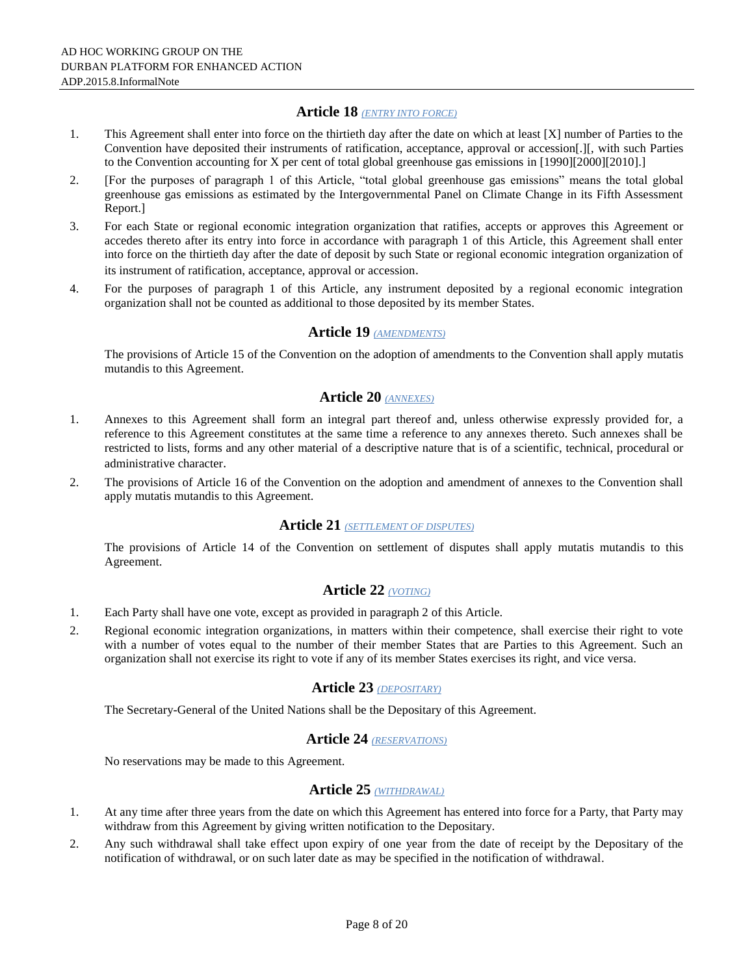### **Article 18** *(ENTRY INTO FORCE)*

- 1. This Agreement shall enter into force on the thirtieth day after the date on which at least [X] number of Parties to the Convention have deposited their instruments of ratification, acceptance, approval or accession[.][, with such Parties to the Convention accounting for X per cent of total global greenhouse gas emissions in [1990][2000][2010].]
- 2. [For the purposes of paragraph 1 of this Article, "total global greenhouse gas emissions" means the total global greenhouse gas emissions as estimated by the Intergovernmental Panel on Climate Change in its Fifth Assessment Report.]
- 3. For each State or regional economic integration organization that ratifies, accepts or approves this Agreement or accedes thereto after its entry into force in accordance with paragraph 1 of this Article, this Agreement shall enter into force on the thirtieth day after the date of deposit by such State or regional economic integration organization of its instrument of ratification, acceptance, approval or accession.
- 4. For the purposes of paragraph 1 of this Article, any instrument deposited by a regional economic integration organization shall not be counted as additional to those deposited by its member States.

### **Article 19** *(AMENDMENTS)*

The provisions of Article 15 of the Convention on the adoption of amendments to the Convention shall apply mutatis mutandis to this Agreement.

### **Article 20** *(ANNEXES)*

- 1. Annexes to this Agreement shall form an integral part thereof and, unless otherwise expressly provided for, a reference to this Agreement constitutes at the same time a reference to any annexes thereto. Such annexes shall be restricted to lists, forms and any other material of a descriptive nature that is of a scientific, technical, procedural or administrative character.
- 2. The provisions of Article 16 of the Convention on the adoption and amendment of annexes to the Convention shall apply mutatis mutandis to this Agreement.

## **Article 21** *(SETTLEMENT OF DISPUTES)*

The provisions of Article 14 of the Convention on settlement of disputes shall apply mutatis mutandis to this Agreement.

# **Article 22** *(VOTING)*

- 1. Each Party shall have one vote, except as provided in paragraph 2 of this Article.
- 2. Regional economic integration organizations, in matters within their competence, shall exercise their right to vote with a number of votes equal to the number of their member States that are Parties to this Agreement. Such an organization shall not exercise its right to vote if any of its member States exercises its right, and vice versa.

### **Article 23** *(DEPOSITARY)*

The Secretary-General of the United Nations shall be the Depositary of this Agreement.

# **Article 24** *(RESERVATIONS)*

No reservations may be made to this Agreement.

## **Article 25** *(WITHDRAWAL)*

- 1. At any time after three years from the date on which this Agreement has entered into force for a Party, that Party may withdraw from this Agreement by giving written notification to the Depositary.
- 2. Any such withdrawal shall take effect upon expiry of one year from the date of receipt by the Depositary of the notification of withdrawal, or on such later date as may be specified in the notification of withdrawal.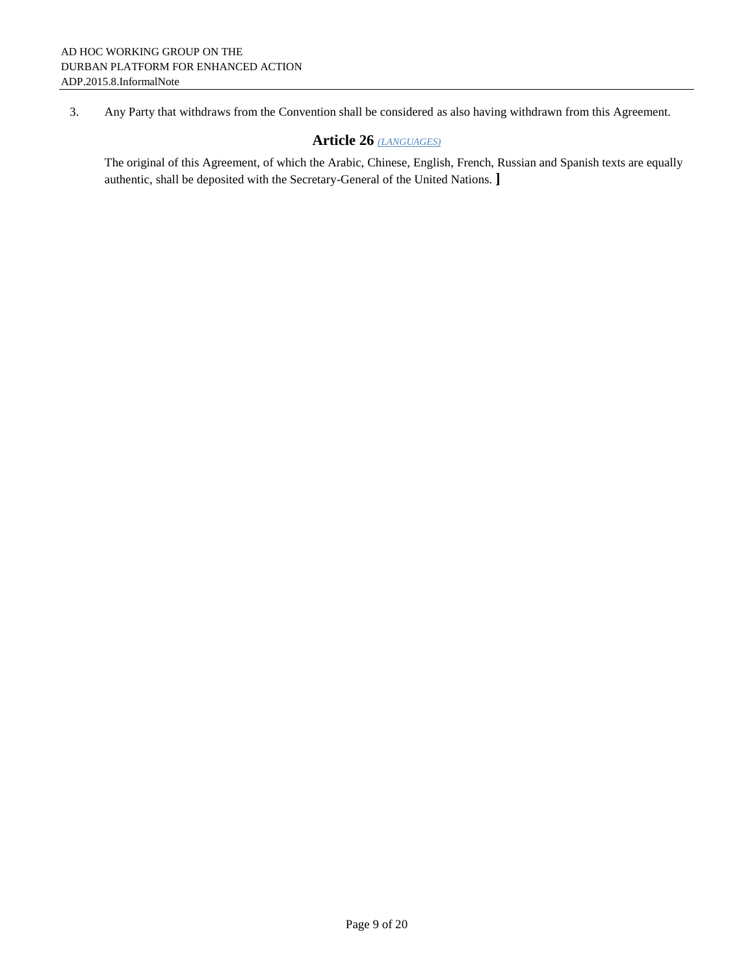### 3. Any Party that withdraws from the Convention shall be considered as also having withdrawn from this Agreement.

## **Article 26** *(LANGUAGES)*

The original of this Agreement, of which the Arabic, Chinese, English, French, Russian and Spanish texts are equally authentic, shall be deposited with the Secretary-General of the United Nations. **]**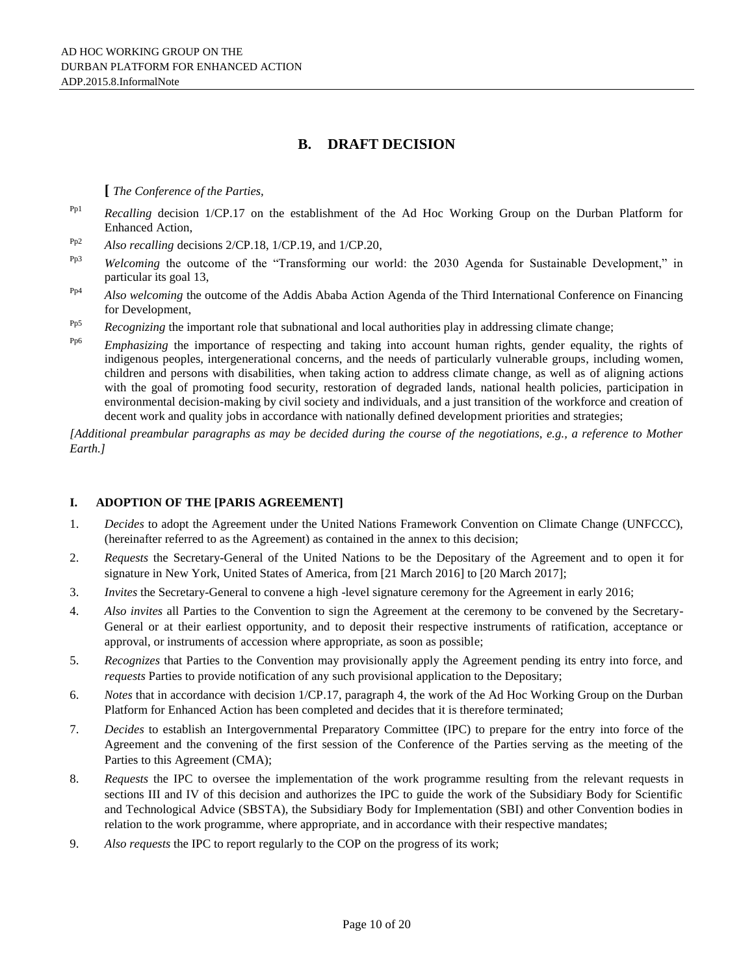## **B. DRAFT DECISION**

**[** *The Conference of the Parties,*

- Pp1 *Recalling* decision 1/CP.17 on the establishment of the Ad Hoc Working Group on the Durban Platform for Enhanced Action,
- Pp2 *Also recalling* decisions 2/CP.18, 1/CP.19, and 1/CP.20,
- Pp3 *Welcoming* the outcome of the "Transforming our world: the 2030 Agenda for Sustainable Development," in particular its goal 13,
- Pp4 *Also welcoming* the outcome of the Addis Ababa Action Agenda of the Third International Conference on Financing for Development,
- <sup>Pp5</sup> *Recognizing* the important role that subnational and local authorities play in addressing climate change;
- <sup>Pp6</sup> *Emphasizing* the importance of respecting and taking into account human rights, gender equality, the rights of indigenous peoples, intergenerational concerns, and the needs of particularly vulnerable groups, including women, children and persons with disabilities, when taking action to address climate change, as well as of aligning actions with the goal of promoting food security, restoration of degraded lands, national health policies, participation in environmental decision-making by civil society and individuals, and a just transition of the workforce and creation of decent work and quality jobs in accordance with nationally defined development priorities and strategies;

*[Additional preambular paragraphs as may be decided during the course of the negotiations, e.g., a reference to Mother Earth.]*

### **I. ADOPTION OF THE [PARIS AGREEMENT]**

- 1. *Decides* to adopt the Agreement under the United Nations Framework Convention on Climate Change (UNFCCC), (hereinafter referred to as the Agreement) as contained in the annex to this decision;
- 2. *Requests* the Secretary-General of the United Nations to be the Depositary of the Agreement and to open it for signature in New York, United States of America, from [21 March 2016] to [20 March 2017];
- 3. *Invites* the Secretary-General to convene a high -level signature ceremony for the Agreement in early 2016;
- 4. *Also invites* all Parties to the Convention to sign the Agreement at the ceremony to be convened by the Secretary-General or at their earliest opportunity, and to deposit their respective instruments of ratification, acceptance or approval, or instruments of accession where appropriate, as soon as possible;
- 5. *Recognizes* that Parties to the Convention may provisionally apply the Agreement pending its entry into force, and *requests* Parties to provide notification of any such provisional application to the Depositary;
- 6. *Notes* that in accordance with decision 1/CP.17, paragraph 4, the work of the Ad Hoc Working Group on the Durban Platform for Enhanced Action has been completed and decides that it is therefore terminated;
- 7. *Decides* to establish an Intergovernmental Preparatory Committee (IPC) to prepare for the entry into force of the Agreement and the convening of the first session of the Conference of the Parties serving as the meeting of the Parties to this Agreement (CMA);
- 8. *Requests* the IPC to oversee the implementation of the work programme resulting from the relevant requests in sections III and IV of this decision and authorizes the IPC to guide the work of the Subsidiary Body for Scientific and Technological Advice (SBSTA), the Subsidiary Body for Implementation (SBI) and other Convention bodies in relation to the work programme, where appropriate, and in accordance with their respective mandates;
- 9. *Also requests* the IPC to report regularly to the COP on the progress of its work;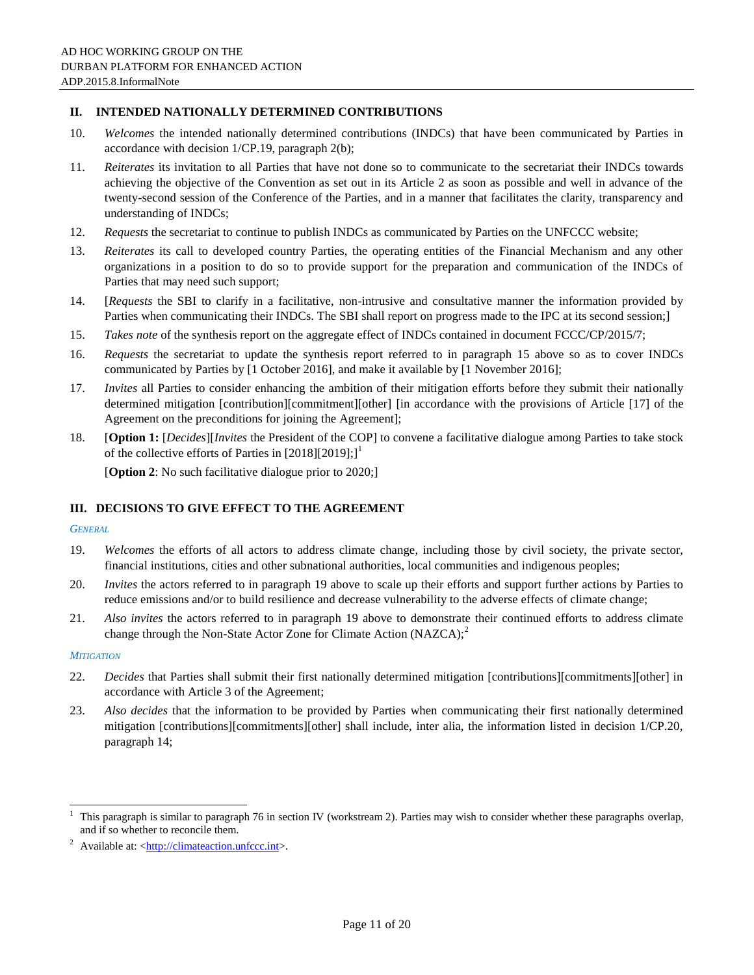#### **II. INTENDED NATIONALLY DETERMINED CONTRIBUTIONS**

- 10. *Welcomes* the intended nationally determined contributions (INDCs) that have been communicated by Parties in accordance with decision 1/CP.19, paragraph 2(b);
- 11. *Reiterates* its invitation to all Parties that have not done so to communicate to the secretariat their INDCs towards achieving the objective of the Convention as set out in its Article 2 as soon as possible and well in advance of the twenty-second session of the Conference of the Parties, and in a manner that facilitates the clarity, transparency and understanding of INDCs;
- 12. *Requests* the secretariat to continue to publish INDCs as communicated by Parties on the UNFCCC website;
- 13. *Reiterates* its call to developed country Parties, the operating entities of the Financial Mechanism and any other organizations in a position to do so to provide support for the preparation and communication of the INDCs of Parties that may need such support;
- 14. [*Requests* the SBI to clarify in a facilitative, non-intrusive and consultative manner the information provided by Parties when communicating their INDCs. The SBI shall report on progress made to the IPC at its second session;]
- 15. *Takes note* of the synthesis report on the aggregate effect of INDCs contained in document FCCC/CP/2015/7;
- 16. *Requests* the secretariat to update the synthesis report referred to in paragraph 15 above so as to cover INDCs communicated by Parties by [1 October 2016], and make it available by [1 November 2016];
- 17. *Invites* all Parties to consider enhancing the ambition of their mitigation efforts before they submit their nationally determined mitigation [contribution][commitment][other] [in accordance with the provisions of Article [17] of the Agreement on the preconditions for joining the Agreement];
- 18. [**Option 1:** [*Decides*][*Invites* the President of the COP] to convene a facilitative dialogue among Parties to take stock of the collective efforts of Parties in  $[2018][2019];$ <sup>1</sup>

[**Option 2**: No such facilitative dialogue prior to 2020;]

### **III. DECISIONS TO GIVE EFFECT TO THE AGREEMENT**

#### *GENERAL*

- 19. *Welcomes* the efforts of all actors to address climate change, including those by civil society, the private sector, financial institutions, cities and other subnational authorities, local communities and indigenous peoples;
- 20. *Invites* the actors referred to in paragraph 19 above to scale up their efforts and support further actions by Parties to reduce emissions and/or to build resilience and decrease vulnerability to the adverse effects of climate change;
- 21. *Also invites* the actors referred to in paragraph 19 above to demonstrate their continued efforts to address climate change through the Non-State Actor Zone for Climate Action (NAZCA); $^{2}$

#### *MITIGATION*

 $\overline{a}$ 

- 22. *Decides* that Parties shall submit their first nationally determined mitigation [contributions][commitments][other] in accordance with Article 3 of the Agreement;
- 23. *Also decides* that the information to be provided by Parties when communicating their first nationally determined mitigation [contributions][commitments][other] shall include, inter alia, the information listed in decision 1/CP.20, paragraph 14;

<sup>1</sup> This paragraph is similar to paragraph 76 in section IV (workstream 2). Parties may wish to consider whether these paragraphs overlap, and if so whether to reconcile them.

<sup>&</sup>lt;sup>2</sup> Available at:  $\langle \frac{http://climateaction.unfcc.int>}{http://climateaction.unfcc.int>}.$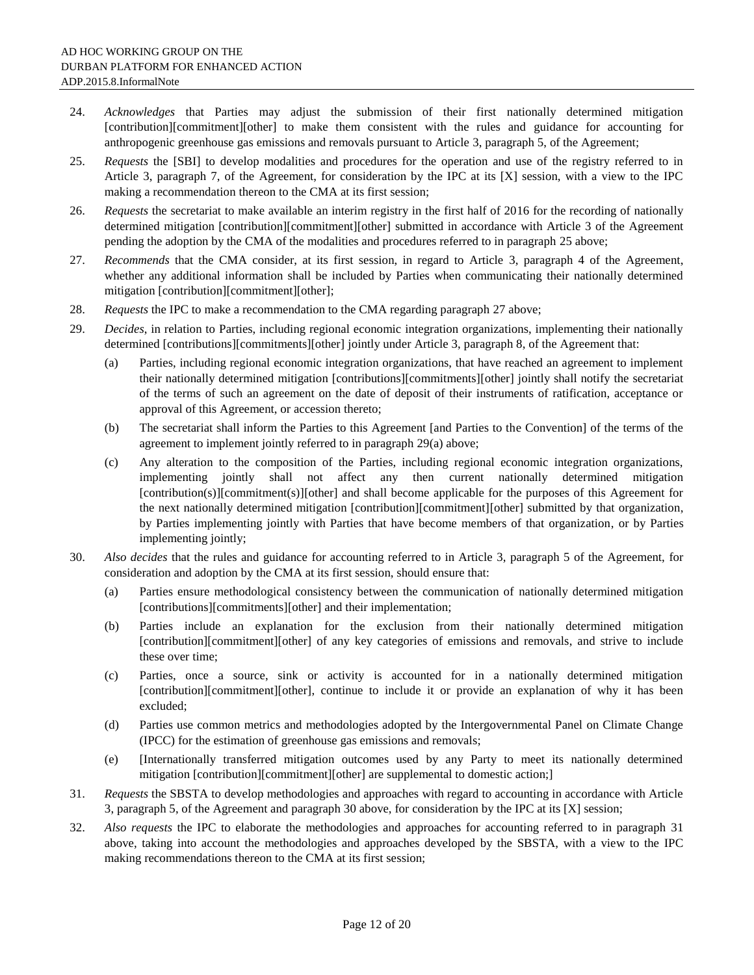- 24. *Acknowledges* that Parties may adjust the submission of their first nationally determined mitigation [contribution][commitment][other] to make them consistent with the rules and guidance for accounting for anthropogenic greenhouse gas emissions and removals pursuant to Article 3, paragraph 5, of the Agreement;
- 25. *Requests* the [SBI] to develop modalities and procedures for the operation and use of the registry referred to in Article 3, paragraph 7, of the Agreement, for consideration by the IPC at its [X] session, with a view to the IPC making a recommendation thereon to the CMA at its first session;
- 26. *Requests* the secretariat to make available an interim registry in the first half of 2016 for the recording of nationally determined mitigation [contribution][commitment][other] submitted in accordance with Article 3 of the Agreement pending the adoption by the CMA of the modalities and procedures referred to in paragraph 25 above;
- 27. *Recommends* that the CMA consider, at its first session, in regard to Article 3, paragraph 4 of the Agreement, whether any additional information shall be included by Parties when communicating their nationally determined mitigation [contribution][commitment][other];
- 28. *Requests* the IPC to make a recommendation to the CMA regarding paragraph 27 above;
- 29. *Decides*, in relation to Parties, including regional economic integration organizations, implementing their nationally determined [contributions][commitments][other] jointly under Article 3, paragraph 8, of the Agreement that:
	- (a) Parties, including regional economic integration organizations, that have reached an agreement to implement their nationally determined mitigation [contributions][commitments][other] jointly shall notify the secretariat of the terms of such an agreement on the date of deposit of their instruments of ratification, acceptance or approval of this Agreement, or accession thereto;
	- (b) The secretariat shall inform the Parties to this Agreement [and Parties to the Convention] of the terms of the agreement to implement jointly referred to in paragraph 29(a) above;
	- (c) Any alteration to the composition of the Parties, including regional economic integration organizations, implementing jointly shall not affect any then current nationally determined mitigation [contribution(s)][commitment(s)][other] and shall become applicable for the purposes of this Agreement for the next nationally determined mitigation [contribution][commitment][other] submitted by that organization, by Parties implementing jointly with Parties that have become members of that organization, or by Parties implementing jointly;
- 30. *Also decides* that the rules and guidance for accounting referred to in Article 3, paragraph 5 of the Agreement, for consideration and adoption by the CMA at its first session, should ensure that:
	- (a) Parties ensure methodological consistency between the communication of nationally determined mitigation [contributions][commitments][other] and their implementation;
	- (b) Parties include an explanation for the exclusion from their nationally determined mitigation [contribution][commitment][other] of any key categories of emissions and removals, and strive to include these over time;
	- (c) Parties, once a source, sink or activity is accounted for in a nationally determined mitigation [contribution][commitment][other], continue to include it or provide an explanation of why it has been excluded;
	- (d) Parties use common metrics and methodologies adopted by the Intergovernmental Panel on Climate Change (IPCC) for the estimation of greenhouse gas emissions and removals;
	- (e) [Internationally transferred mitigation outcomes used by any Party to meet its nationally determined mitigation [contribution][commitment][other] are supplemental to domestic action;]
- 31. *Requests* the SBSTA to develop methodologies and approaches with regard to accounting in accordance with Article 3, paragraph 5, of the Agreement and paragraph 30 above, for consideration by the IPC at its [X] session;
- 32. *Also requests* the IPC to elaborate the methodologies and approaches for accounting referred to in paragraph 31 above, taking into account the methodologies and approaches developed by the SBSTA, with a view to the IPC making recommendations thereon to the CMA at its first session;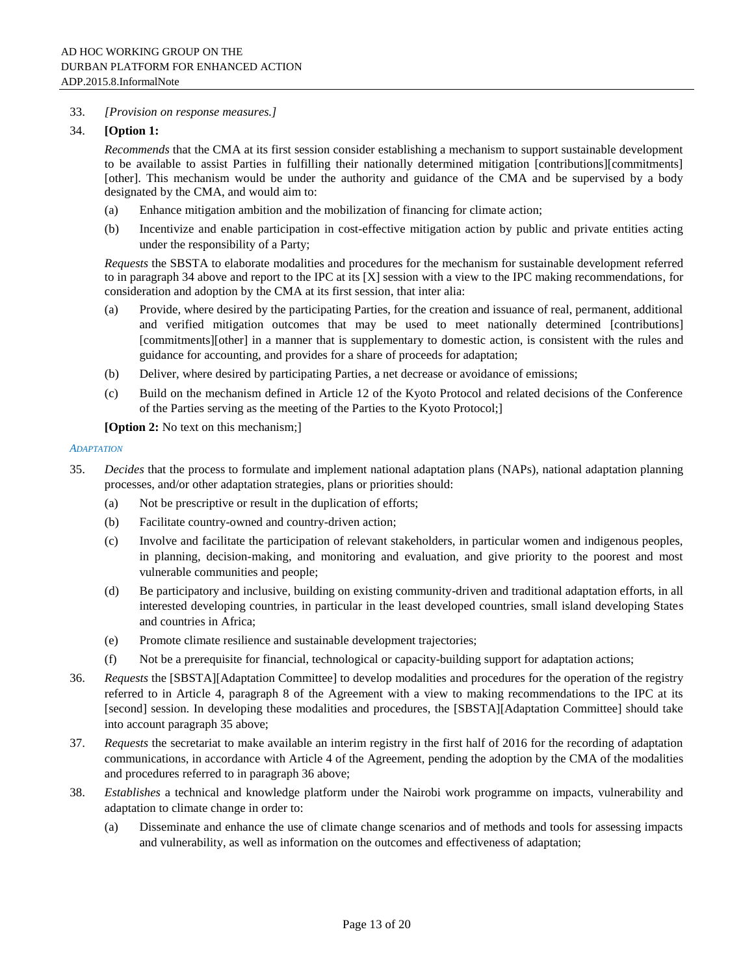#### 33. *[Provision on response measures.]*

#### 34. **[Option 1:**

*Recommends* that the CMA at its first session consider establishing a mechanism to support sustainable development to be available to assist Parties in fulfilling their nationally determined mitigation [contributions][commitments] [other]. This mechanism would be under the authority and guidance of the CMA and be supervised by a body designated by the CMA, and would aim to:

- (a) Enhance mitigation ambition and the mobilization of financing for climate action;
- (b) Incentivize and enable participation in cost-effective mitigation action by public and private entities acting under the responsibility of a Party;

*Requests* the SBSTA to elaborate modalities and procedures for the mechanism for sustainable development referred to in paragraph 34 above and report to the IPC at its [X] session with a view to the IPC making recommendations, for consideration and adoption by the CMA at its first session, that inter alia:

- (a) Provide, where desired by the participating Parties, for the creation and issuance of real, permanent, additional and verified mitigation outcomes that may be used to meet nationally determined [contributions] [commitments][other] in a manner that is supplementary to domestic action, is consistent with the rules and guidance for accounting, and provides for a share of proceeds for adaptation;
- (b) Deliver, where desired by participating Parties, a net decrease or avoidance of emissions;
- (c) Build on the mechanism defined in Article 12 of the Kyoto Protocol and related decisions of the Conference of the Parties serving as the meeting of the Parties to the Kyoto Protocol;]

**[Option 2:** No text on this mechanism;]

#### *ADAPTATION*

- 35. *Decides* that the process to formulate and implement national adaptation plans (NAPs), national adaptation planning processes, and/or other adaptation strategies, plans or priorities should:
	- (a) Not be prescriptive or result in the duplication of efforts;
	- (b) Facilitate country-owned and country-driven action;
	- (c) Involve and facilitate the participation of relevant stakeholders, in particular women and indigenous peoples, in planning, decision-making, and monitoring and evaluation, and give priority to the poorest and most vulnerable communities and people;
	- (d) Be participatory and inclusive, building on existing community-driven and traditional adaptation efforts, in all interested developing countries, in particular in the least developed countries, small island developing States and countries in Africa;
	- (e) Promote climate resilience and sustainable development trajectories;
	- (f) Not be a prerequisite for financial, technological or capacity-building support for adaptation actions;
- 36. *Requests* the [SBSTA][Adaptation Committee] to develop modalities and procedures for the operation of the registry referred to in Article 4, paragraph 8 of the Agreement with a view to making recommendations to the IPC at its [second] session. In developing these modalities and procedures, the [SBSTA][Adaptation Committee] should take into account paragraph 35 above;
- 37. *Requests* the secretariat to make available an interim registry in the first half of 2016 for the recording of adaptation communications, in accordance with Article 4 of the Agreement, pending the adoption by the CMA of the modalities and procedures referred to in paragraph 36 above;
- 38. *Establishes* a technical and knowledge platform under the Nairobi work programme on impacts, vulnerability and adaptation to climate change in order to:
	- (a) Disseminate and enhance the use of climate change scenarios and of methods and tools for assessing impacts and vulnerability, as well as information on the outcomes and effectiveness of adaptation;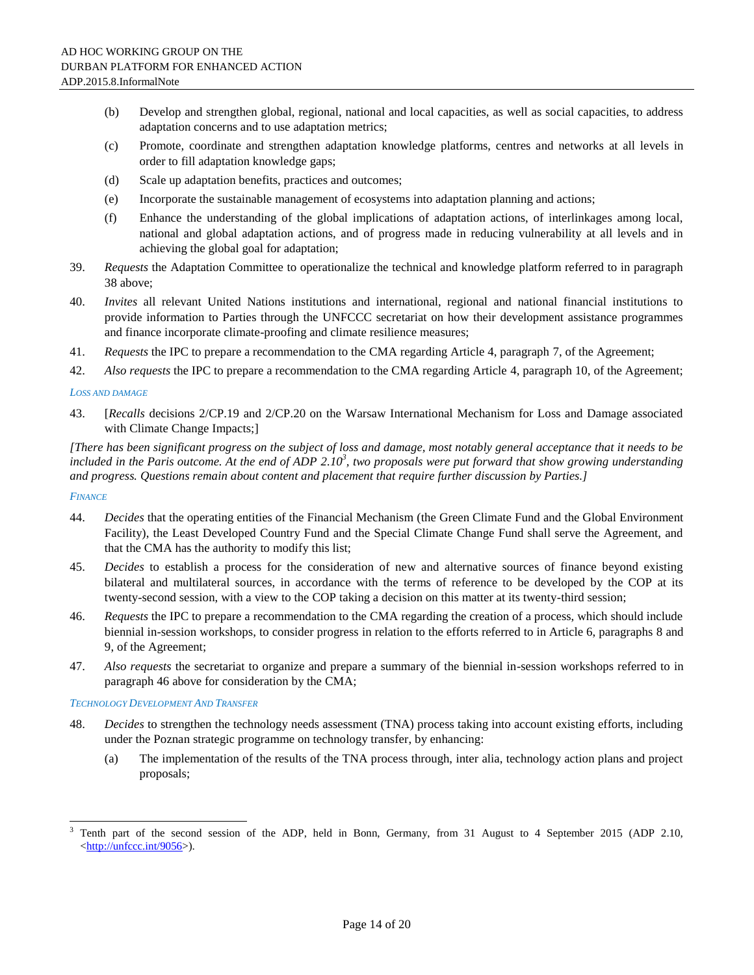- (b) Develop and strengthen global, regional, national and local capacities, as well as social capacities, to address adaptation concerns and to use adaptation metrics;
- (c) Promote, coordinate and strengthen adaptation knowledge platforms, centres and networks at all levels in order to fill adaptation knowledge gaps;
- (d) Scale up adaptation benefits, practices and outcomes;
- (e) Incorporate the sustainable management of ecosystems into adaptation planning and actions;
- (f) Enhance the understanding of the global implications of adaptation actions, of interlinkages among local, national and global adaptation actions, and of progress made in reducing vulnerability at all levels and in achieving the global goal for adaptation;
- 39. *Requests* the Adaptation Committee to operationalize the technical and knowledge platform referred to in paragraph 38 above;
- 40. *Invites* all relevant United Nations institutions and international, regional and national financial institutions to provide information to Parties through the UNFCCC secretariat on how their development assistance programmes and finance incorporate climate-proofing and climate resilience measures;
- 41. *Requests* the IPC to prepare a recommendation to the CMA regarding Article 4, paragraph 7, of the Agreement;
- 42. *Also requests* the IPC to prepare a recommendation to the CMA regarding Article 4, paragraph 10, of the Agreement;

#### *LOSS AND DAMAGE*

43. [*Recalls* decisions 2/CP.19 and 2/CP.20 on the Warsaw International Mechanism for Loss and Damage associated with Climate Change Impacts;]

*[There has been significant progress on the subject of loss and damage, most notably general acceptance that it needs to be included in the Paris outcome. At the end of ADP 2.10<sup>3</sup> , two proposals were put forward that show growing understanding and progress. Questions remain about content and placement that require further discussion by Parties.]*

#### *FINANCE*

 $\overline{\phantom{a}}$ 

- 44. *Decides* that the operating entities of the Financial Mechanism (the Green Climate Fund and the Global Environment Facility), the Least Developed Country Fund and the Special Climate Change Fund shall serve the Agreement, and that the CMA has the authority to modify this list;
- 45. *Decides* to establish a process for the consideration of new and alternative sources of finance beyond existing bilateral and multilateral sources, in accordance with the terms of reference to be developed by the COP at its twenty-second session, with a view to the COP taking a decision on this matter at its twenty-third session;
- 46. *Requests* the IPC to prepare a recommendation to the CMA regarding the creation of a process, which should include biennial in-session workshops, to consider progress in relation to the efforts referred to in Article 6, paragraphs 8 and 9, of the Agreement;
- 47. *Also requests* the secretariat to organize and prepare a summary of the biennial in-session workshops referred to in paragraph 46 above for consideration by the CMA;

#### *TECHNOLOGY DEVELOPMENT AND TRANSFER*

- 48. *Decides* to strengthen the technology needs assessment (TNA) process taking into account existing efforts, including under the Poznan strategic programme on technology transfer, by enhancing:
	- (a) The implementation of the results of the TNA process through, inter alia, technology action plans and project proposals;

<sup>3</sup> Tenth part of the second session of the ADP, held in Bonn, Germany, from 31 August to 4 September 2015 (ADP 2.10, [<http://unfccc.int/9056>](http://unfccc.int/9056)).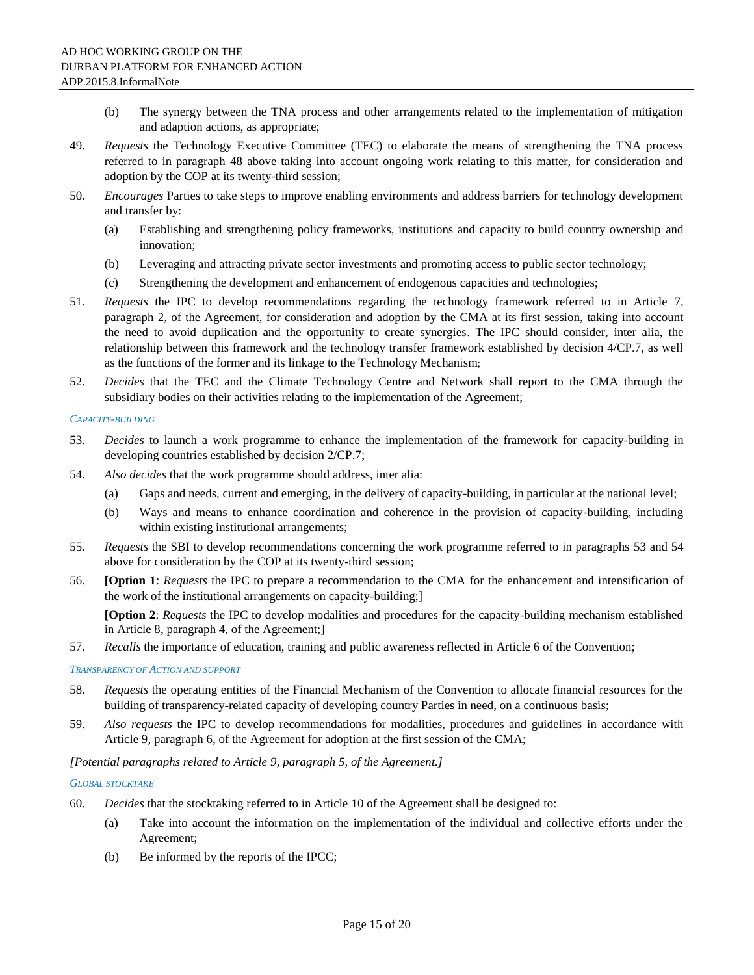- (b) The synergy between the TNA process and other arrangements related to the implementation of mitigation and adaption actions, as appropriate;
- 49. *Requests* the Technology Executive Committee (TEC) to elaborate the means of strengthening the TNA process referred to in paragraph 48 above taking into account ongoing work relating to this matter, for consideration and adoption by the COP at its twenty-third session;
- 50. *Encourages* Parties to take steps to improve enabling environments and address barriers for technology development and transfer by:
	- (a) Establishing and strengthening policy frameworks, institutions and capacity to build country ownership and innovation;
	- (b) Leveraging and attracting private sector investments and promoting access to public sector technology;
	- (c) Strengthening the development and enhancement of endogenous capacities and technologies;
- 51. *Requests* the IPC to develop recommendations regarding the technology framework referred to in Article 7, paragraph 2, of the Agreement, for consideration and adoption by the CMA at its first session, taking into account the need to avoid duplication and the opportunity to create synergies. The IPC should consider, inter alia, the relationship between this framework and the technology transfer framework established by decision 4/CP.7, as well as the functions of the former and its linkage to the Technology Mechanism;
- 52. *Decides* that the TEC and the Climate Technology Centre and Network shall report to the CMA through the subsidiary bodies on their activities relating to the implementation of the Agreement;

#### *CAPACITY-BUILDING*

- 53. *Decides* to launch a work programme to enhance the implementation of the framework for capacity-building in developing countries established by decision 2/CP.7;
- 54. *Also decides* that the work programme should address, inter alia:
	- (a) Gaps and needs, current and emerging, in the delivery of capacity-building, in particular at the national level;
	- (b) Ways and means to enhance coordination and coherence in the provision of capacity-building, including within existing institutional arrangements;
- 55. *Requests* the SBI to develop recommendations concerning the work programme referred to in paragraphs 53 and 54 above for consideration by the COP at its twenty-third session;
- 56. **[Option 1**: *Requests* the IPC to prepare a recommendation to the CMA for the enhancement and intensification of the work of the institutional arrangements on capacity-building;]

**[Option 2**: *Requests* the IPC to develop modalities and procedures for the capacity-building mechanism established in Article 8, paragraph 4, of the Agreement;]

57. *Recalls* the importance of education, training and public awareness reflected in Article 6 of the Convention;

#### *TRANSPARENCY OF ACTION AND SUPPORT*

- 58. *Requests* the operating entities of the Financial Mechanism of the Convention to allocate financial resources for the building of transparency-related capacity of developing country Parties in need, on a continuous basis;
- 59. *Also requests* the IPC to develop recommendations for modalities, procedures and guidelines in accordance with Article 9, paragraph 6, of the Agreement for adoption at the first session of the CMA;

#### *[Potential paragraphs related to Article 9, paragraph 5, of the Agreement.]*

#### *GLOBAL STOCKTAKE*

- 60. *Decides* that the stocktaking referred to in Article 10 of the Agreement shall be designed to:
	- (a) Take into account the information on the implementation of the individual and collective efforts under the Agreement;
	- (b) Be informed by the reports of the IPCC;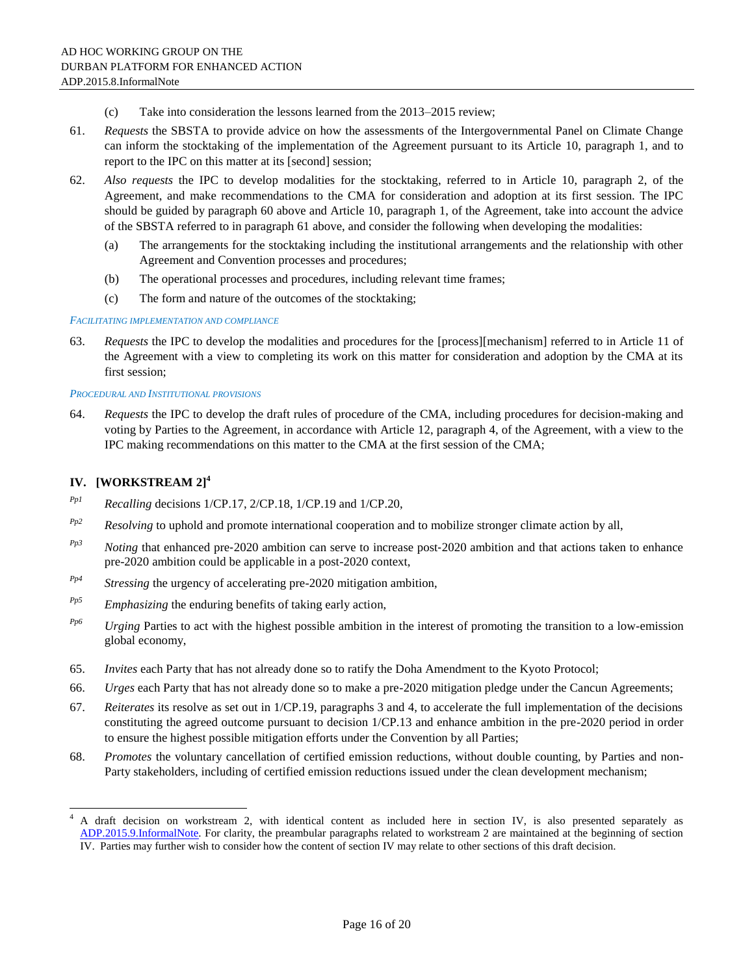- (c) Take into consideration the lessons learned from the 2013–2015 review;
- 61. *Requests* the SBSTA to provide advice on how the assessments of the Intergovernmental Panel on Climate Change can inform the stocktaking of the implementation of the Agreement pursuant to its Article 10, paragraph 1, and to report to the IPC on this matter at its [second] session;
- 62. *Also requests* the IPC to develop modalities for the stocktaking, referred to in Article 10, paragraph 2, of the Agreement, and make recommendations to the CMA for consideration and adoption at its first session. The IPC should be guided by paragraph 60 above and Article 10, paragraph 1, of the Agreement, take into account the advice of the SBSTA referred to in paragraph 61 above, and consider the following when developing the modalities:
	- (a) The arrangements for the stocktaking including the institutional arrangements and the relationship with other Agreement and Convention processes and procedures;
	- (b) The operational processes and procedures, including relevant time frames;
	- (c) The form and nature of the outcomes of the stocktaking;

#### *FACILITATING IMPLEMENTATION AND COMPLIANCE*

63. *Requests* the IPC to develop the modalities and procedures for the [process][mechanism] referred to in Article 11 of the Agreement with a view to completing its work on this matter for consideration and adoption by the CMA at its first session;

#### *PROCEDURAL AND INSTITUTIONAL PROVISIONS*

64. *Requests* the IPC to develop the draft rules of procedure of the CMA, including procedures for decision-making and voting by Parties to the Agreement, in accordance with Article 12, paragraph 4, of the Agreement, with a view to the IPC making recommendations on this matter to the CMA at the first session of the CMA;

### **IV. [WORKSTREAM 2]<sup>4</sup>**

 $\overline{a}$ 

- *Pp1 Recalling* decisions 1/CP.17, 2/CP.18, 1/CP.19 and 1/CP.20,
- *Pp2 Resolving* to uphold and promote international cooperation and to mobilize stronger climate action by all,
- *Pp3 Noting* that enhanced pre-2020 ambition can serve to increase post-2020 ambition and that actions taken to enhance pre-2020 ambition could be applicable in a post-2020 context,
- $P_{p4}$  *Stressing* the urgency of accelerating pre-2020 mitigation ambition,
- *Pp5 Emphasizing* the enduring benefits of taking early action,
- *Pp6 Urging* Parties to act with the highest possible ambition in the interest of promoting the transition to a low-emission global economy,
- 65. *Invites* each Party that has not already done so to ratify the Doha Amendment to the Kyoto Protocol;
- 66. *Urges* each Party that has not already done so to make a pre-2020 mitigation pledge under the Cancun Agreements;
- 67. *Reiterates* its resolve as set out in 1/CP.19, paragraphs 3 and 4, to accelerate the full implementation of the decisions constituting the agreed outcome pursuant to decision 1/CP.13 and enhance ambition in the pre-2020 period in order to ensure the highest possible mitigation efforts under the Convention by all Parties;
- 68. *Promotes* the voluntary cancellation of certified emission reductions, without double counting, by Parties and non-Party stakeholders, including of certified emission reductions issued under the clean development mechanism;

<sup>4</sup> A draft decision on workstream 2, with identical content as included here in section IV, is also presented separately as [ADP.2015.9.InformalNote.](http://unfccc.int/resource/docs/2015/adp2/eng/9infnot.pdf) For clarity, the preambular paragraphs related to workstream 2 are maintained at the beginning of section  $\overline{IV}$ . Parties may further wish to consider how the content of section IV may relate to other sections of this draft decision.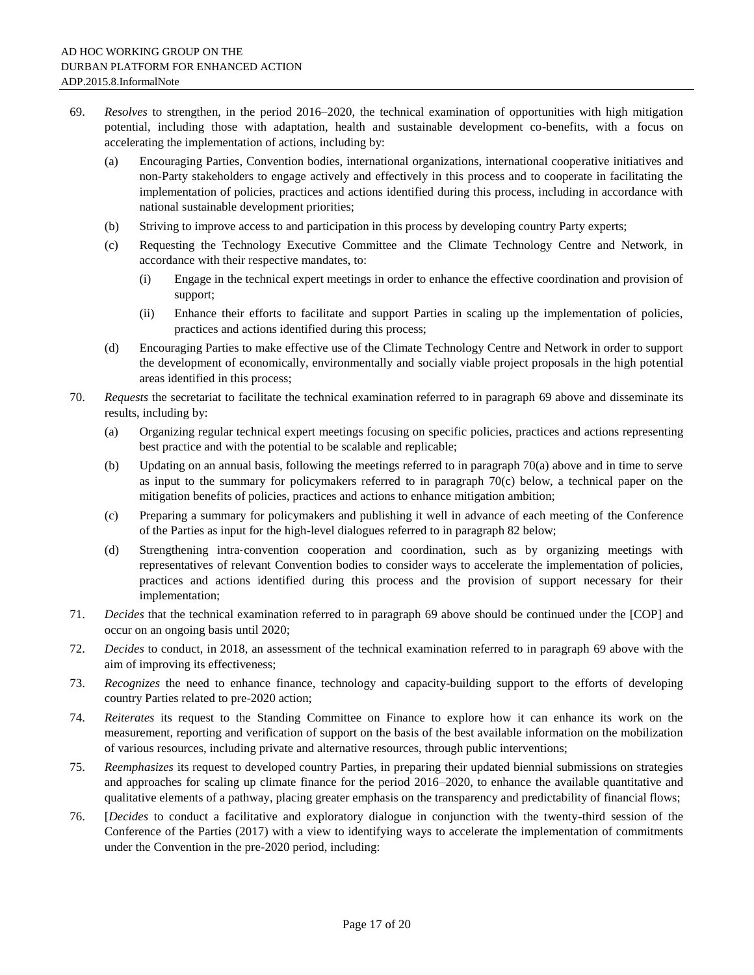- 69. *Resolves* to strengthen, in the period 2016–2020, the technical examination of opportunities with high mitigation potential, including those with adaptation, health and sustainable development co-benefits, with a focus on accelerating the implementation of actions, including by:
	- (a) Encouraging Parties, Convention bodies, international organizations, international cooperative initiatives and non-Party stakeholders to engage actively and effectively in this process and to cooperate in facilitating the implementation of policies, practices and actions identified during this process, including in accordance with national sustainable development priorities;
	- (b) Striving to improve access to and participation in this process by developing country Party experts;
	- (c) Requesting the Technology Executive Committee and the Climate Technology Centre and Network, in accordance with their respective mandates, to:
		- (i) Engage in the technical expert meetings in order to enhance the effective coordination and provision of support;
		- (ii) Enhance their efforts to facilitate and support Parties in scaling up the implementation of policies, practices and actions identified during this process;
	- (d) Encouraging Parties to make effective use of the Climate Technology Centre and Network in order to support the development of economically, environmentally and socially viable project proposals in the high potential areas identified in this process;
- 70. *Requests* the secretariat to facilitate the technical examination referred to in paragraph 69 above and disseminate its results, including by:
	- (a) Organizing regular technical expert meetings focusing on specific policies, practices and actions representing best practice and with the potential to be scalable and replicable;
	- (b) Updating on an annual basis, following the meetings referred to in paragraph 70(a) above and in time to serve as input to the summary for policymakers referred to in paragraph 70(c) below, a technical paper on the mitigation benefits of policies, practices and actions to enhance mitigation ambition;
	- (c) Preparing a summary for policymakers and publishing it well in advance of each meeting of the Conference of the Parties as input for the high-level dialogues referred to in paragraph 82 below;
	- (d) Strengthening intra‐convention cooperation and coordination, such as by organizing meetings with representatives of relevant Convention bodies to consider ways to accelerate the implementation of policies, practices and actions identified during this process and the provision of support necessary for their implementation;
- 71. *Decides* that the technical examination referred to in paragraph 69 above should be continued under the [COP] and occur on an ongoing basis until 2020;
- 72. *Decides* to conduct, in 2018, an assessment of the technical examination referred to in paragraph 69 above with the aim of improving its effectiveness;
- 73. *Recognizes* the need to enhance finance, technology and capacity-building support to the efforts of developing country Parties related to pre-2020 action;
- 74. *Reiterates* its request to the Standing Committee on Finance to explore how it can enhance its work on the measurement, reporting and verification of support on the basis of the best available information on the mobilization of various resources, including private and alternative resources, through public interventions;
- 75. *Reemphasizes* its request to developed country Parties, in preparing their updated biennial submissions on strategies and approaches for scaling up climate finance for the period 2016–2020, to enhance the available quantitative and qualitative elements of a pathway, placing greater emphasis on the transparency and predictability of financial flows;
- 76. [*Decides* to conduct a facilitative and exploratory dialogue in conjunction with the twenty-third session of the Conference of the Parties (2017) with a view to identifying ways to accelerate the implementation of commitments under the Convention in the pre-2020 period, including: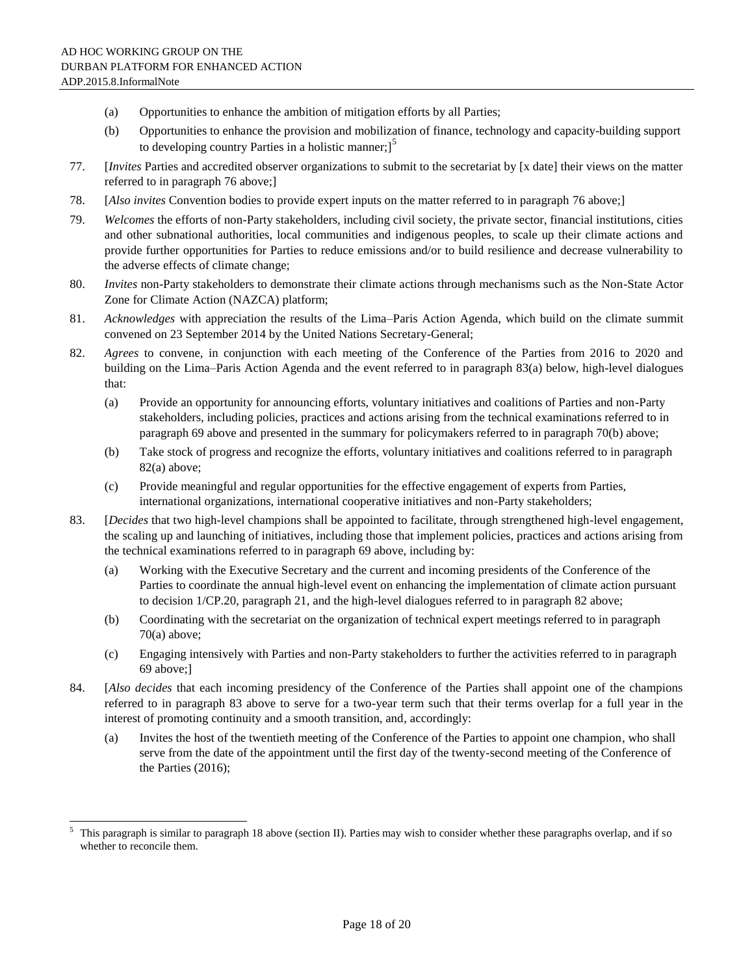$\overline{\phantom{a}}$ 

- (a) Opportunities to enhance the ambition of mitigation efforts by all Parties;
- (b) Opportunities to enhance the provision and mobilization of finance, technology and capacity-building support to developing country Parties in a holistic manner; $]$ <sup>5</sup>
- 77. [*Invites* Parties and accredited observer organizations to submit to the secretariat by [x date] their views on the matter referred to in paragraph 76 above;]
- 78. [*Also invites* Convention bodies to provide expert inputs on the matter referred to in paragraph 76 above;]
- 79. *Welcomes* the efforts of non-Party stakeholders, including civil society, the private sector, financial institutions, cities and other subnational authorities, local communities and indigenous peoples, to scale up their climate actions and provide further opportunities for Parties to reduce emissions and/or to build resilience and decrease vulnerability to the adverse effects of climate change;
- 80. *Invites* non-Party stakeholders to demonstrate their climate actions through mechanisms such as the Non-State Actor Zone for Climate Action (NAZCA) platform;
- 81. *Acknowledges* with appreciation the results of the Lima–Paris Action Agenda, which build on the climate summit convened on 23 September 2014 by the United Nations Secretary-General;
- 82. *Agrees* to convene, in conjunction with each meeting of the Conference of the Parties from 2016 to 2020 and building on the Lima–Paris Action Agenda and the event referred to in paragraph 83(a) below, high-level dialogues that:
	- (a) Provide an opportunity for announcing efforts, voluntary initiatives and coalitions of Parties and non-Party stakeholders, including policies, practices and actions arising from the technical examinations referred to in paragraph 69 above and presented in the summary for policymakers referred to in paragraph 70(b) above;
	- (b) Take stock of progress and recognize the efforts, voluntary initiatives and coalitions referred to in paragraph 82(a) above;
	- (c) Provide meaningful and regular opportunities for the effective engagement of experts from Parties, international organizations, international cooperative initiatives and non-Party stakeholders;
- 83. [*Decides* that two high-level champions shall be appointed to facilitate, through strengthened high-level engagement, the scaling up and launching of initiatives, including those that implement policies, practices and actions arising from the technical examinations referred to in paragraph 69 above, including by:
	- (a) Working with the Executive Secretary and the current and incoming presidents of the Conference of the Parties to coordinate the annual high-level event on enhancing the implementation of climate action pursuant to decision 1/CP.20, paragraph 21, and the high-level dialogues referred to in paragraph 82 above;
	- (b) Coordinating with the secretariat on the organization of technical expert meetings referred to in paragraph 70(a) above;
	- (c) Engaging intensively with Parties and non-Party stakeholders to further the activities referred to in paragraph 69 above;]
- 84. [*Also decides* that each incoming presidency of the Conference of the Parties shall appoint one of the champions referred to in paragraph 83 above to serve for a two-year term such that their terms overlap for a full year in the interest of promoting continuity and a smooth transition, and, accordingly:
	- (a) Invites the host of the twentieth meeting of the Conference of the Parties to appoint one champion, who shall serve from the date of the appointment until the first day of the twenty-second meeting of the Conference of the Parties (2016);

This paragraph is similar to paragraph 18 above (section II). Parties may wish to consider whether these paragraphs overlap, and if so whether to reconcile them.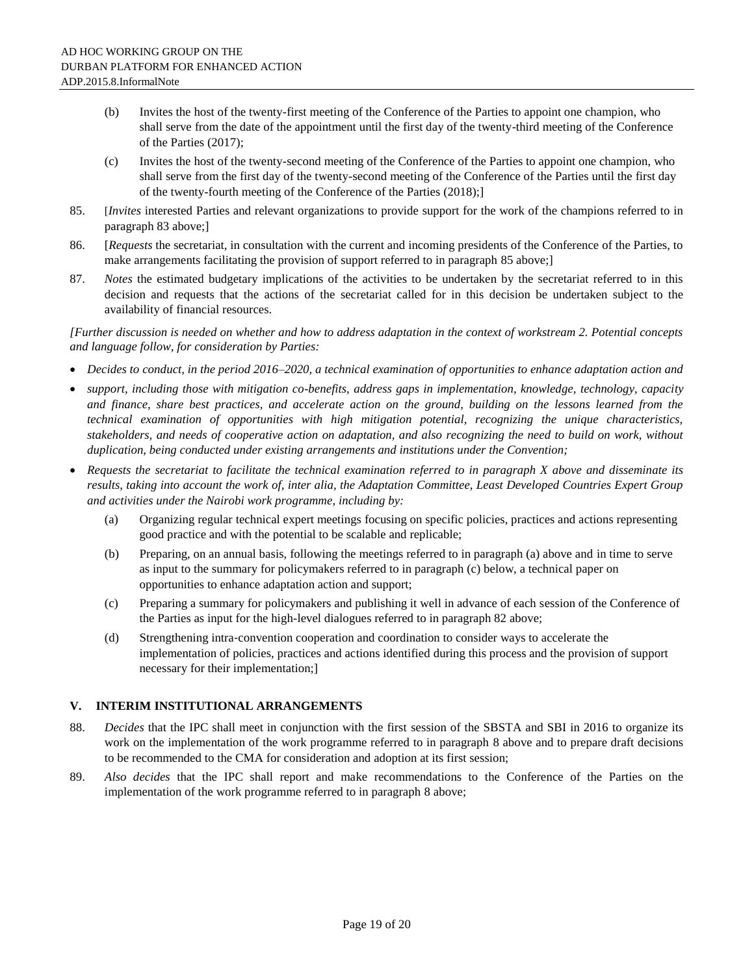- (b) Invites the host of the twenty-first meeting of the Conference of the Parties to appoint one champion, who shall serve from the date of the appointment until the first day of the twenty-third meeting of the Conference of the Parties (2017);
- (c) Invites the host of the twenty-second meeting of the Conference of the Parties to appoint one champion, who shall serve from the first day of the twenty-second meeting of the Conference of the Parties until the first day of the twenty-fourth meeting of the Conference of the Parties (2018);]
- 85. [*Invites* interested Parties and relevant organizations to provide support for the work of the champions referred to in paragraph 83 above;]
- 86. [*Requests* the secretariat, in consultation with the current and incoming presidents of the Conference of the Parties, to make arrangements facilitating the provision of support referred to in paragraph 85 above;]
- 87. *Notes* the estimated budgetary implications of the activities to be undertaken by the secretariat referred to in this decision and requests that the actions of the secretariat called for in this decision be undertaken subject to the availability of financial resources.

#### *[Further discussion is needed on whether and how to address adaptation in the context of workstream 2. Potential concepts and language follow, for consideration by Parties:*

- *Decides to conduct, in the period 2016–2020, a technical examination of opportunities to enhance adaptation action and*
- *support, including those with mitigation co-benefits, address gaps in implementation, knowledge, technology, capacity and finance, share best practices, and accelerate action on the ground, building on the lessons learned from the technical examination of opportunities with high mitigation potential, recognizing the unique characteristics, stakeholders, and needs of cooperative action on adaptation, and also recognizing the need to build on work, without duplication, being conducted under existing arrangements and institutions under the Convention;*
- *Requests the secretariat to facilitate the technical examination referred to in paragraph X above and disseminate its results, taking into account the work of, inter alia, the Adaptation Committee, Least Developed Countries Expert Group and activities under the Nairobi work programme, including by:*
	- (a) Organizing regular technical expert meetings focusing on specific policies, practices and actions representing good practice and with the potential to be scalable and replicable;
	- (b) Preparing, on an annual basis, following the meetings referred to in paragraph (a) above and in time to serve as input to the summary for policymakers referred to in paragraph (c) below, a technical paper on opportunities to enhance adaptation action and support;
	- (c) Preparing a summary for policymakers and publishing it well in advance of each session of the Conference of the Parties as input for the high-level dialogues referred to in paragraph 82 above;
	- (d) Strengthening intra‐convention cooperation and coordination to consider ways to accelerate the implementation of policies, practices and actions identified during this process and the provision of support necessary for their implementation;]

### **V. INTERIM INSTITUTIONAL ARRANGEMENTS**

- 88. *Decides* that the IPC shall meet in conjunction with the first session of the SBSTA and SBI in 2016 to organize its work on the implementation of the work programme referred to in paragraph 8 above and to prepare draft decisions to be recommended to the CMA for consideration and adoption at its first session;
- 89. *Also decides* that the IPC shall report and make recommendations to the Conference of the Parties on the implementation of the work programme referred to in paragraph 8 above;